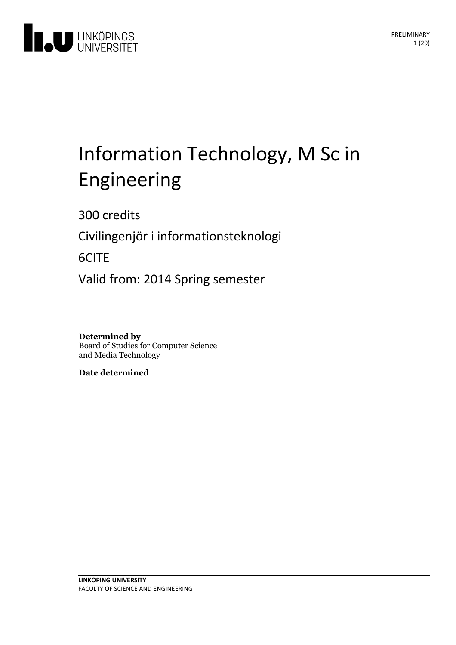

# Information Technology, M Sc in Engineering

300 credits

Civilingenjör i informationsteknologi

6CITE

Valid from: 2014 Spring semester

**Determined by** Board of Studies for Computer Science and Media Technology

**Date determined**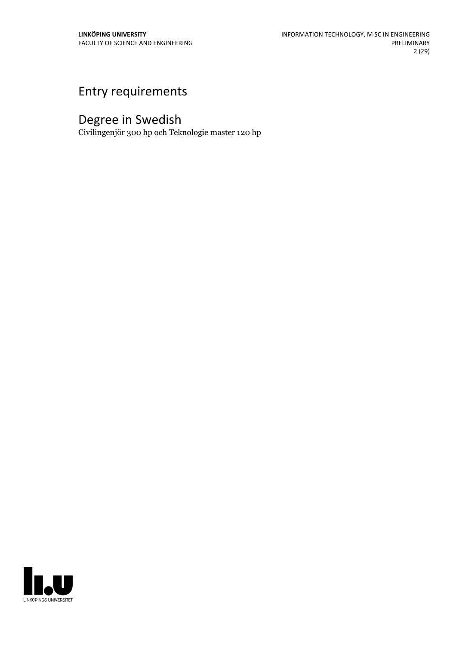# Entry requirements

# Degree in Swedish

Civilingenjör 300 hp och Teknologie master 120 hp

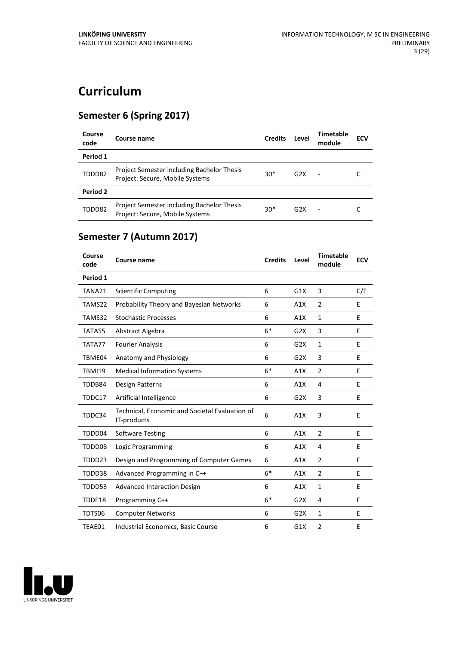# **Curriculum**

### **Semester 6 (Spring 2017)**

| Course<br>code | Course name                                                                   | <b>Credits</b> | Level | Timetable<br>module      | <b>ECV</b> |
|----------------|-------------------------------------------------------------------------------|----------------|-------|--------------------------|------------|
| Period 1       |                                                                               |                |       |                          |            |
| TDDD82         | Project Semester including Bachelor Thesis<br>Project: Secure, Mobile Systems | $30*$          | G2X   | $\overline{\phantom{a}}$ |            |
| Period 2       |                                                                               |                |       |                          |            |
| TDDD82         | Project Semester including Bachelor Thesis<br>Project: Secure, Mobile Systems | $30*$          | G2X   | ٠                        |            |

## **Semester 7 (Autumn 2017)**

| Course<br>code | <b>Course name</b>                                            | <b>Credits</b> | Level | <b>Timetable</b><br>module | <b>ECV</b> |
|----------------|---------------------------------------------------------------|----------------|-------|----------------------------|------------|
| Period 1       |                                                               |                |       |                            |            |
| TANA21         | <b>Scientific Computing</b>                                   | 6              | G1X   | 3                          | C/E        |
| TAMS22         | Probability Theory and Bayesian Networks                      | 6              | A1X   | $\overline{2}$             | E          |
| TAMS32         | <b>Stochastic Processes</b>                                   | 6              | A1X   | 1                          | E          |
| TATA55         | Abstract Algebra                                              | $6*$           | G2X   | 3                          | E          |
| TATA77         | <b>Fourier Analysis</b>                                       | 6              | G2X   | $\mathbf{1}$               | E          |
| TBME04         | Anatomy and Physiology                                        | 6              | G2X   | 3                          | E          |
| <b>TBMI19</b>  | <b>Medical Information Systems</b>                            | $6*$           | A1X   | $\overline{2}$             | E          |
| TDDB84         | Design Patterns                                               | 6              | A1X   | 4                          | E          |
| TDDC17         | Artificial Intelligence                                       | 6              | G2X   | 3                          | E          |
| TDDC34         | Technical, Economic and Societal Evaluation of<br>IT-products | 6              | A1X   | 3                          | E          |
| TDDD04         | <b>Software Testing</b>                                       | 6              | A1X   | $\overline{2}$             | E          |
| TDDD08         | Logic Programming                                             | 6              | A1X   | $\overline{4}$             | E          |
| TDDD23         | Design and Programming of Computer Games                      | 6              | A1X   | $\overline{2}$             | Е          |
| TDDD38         | Advanced Programming in C++                                   | $6*$           | A1X   | $\overline{2}$             | E          |
| TDDD53         | <b>Advanced Interaction Design</b>                            | 6              | A1X   | $\mathbf{1}$               | E          |
| TDDE18         | Programming C++                                               | $6*$           | G2X   | 4                          | E          |
| TDTS06         | <b>Computer Networks</b>                                      | 6              | G2X   | $\mathbf{1}$               | Е          |
| TEAE01         | Industrial Economics, Basic Course                            | 6              | G1X   | $\overline{2}$             | E          |

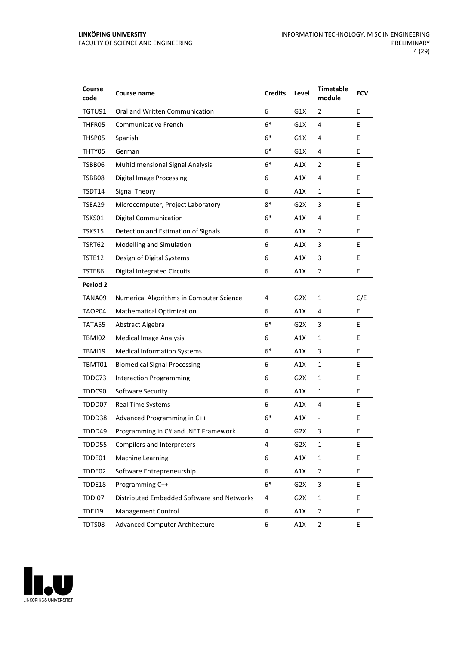| Course<br>code  | Course name                                | <b>Credits</b> | Level            | <b>Timetable</b><br>module   | <b>ECV</b> |
|-----------------|--------------------------------------------|----------------|------------------|------------------------------|------------|
| TGTU91          | Oral and Written Communication             | 6              | G1X              | 2                            | E          |
| THFR05          | Communicative French                       | $6*$           | G1X              | 4                            | Е          |
| THSP05          | Spanish                                    | $6*$           | G1X              | 4                            | E          |
| THTY05          | German                                     | 6*             | G1X              | 4                            | E          |
| TSBB06          | Multidimensional Signal Analysis           | $6*$           | A1X              | $\overline{2}$               | E          |
| TSBB08          | <b>Digital Image Processing</b>            | 6              | A1X              | 4                            | E          |
| TSDT14          | Signal Theory                              | 6              | A1X              | $\mathbf{1}$                 | E          |
| TSEA29          | Microcomputer, Project Laboratory          | $8*$           | G2X              | 3                            | E          |
| TSKS01          | <b>Digital Communication</b>               | $6*$           | A1X              | 4                            | E          |
| <b>TSKS15</b>   | Detection and Estimation of Signals        | 6              | A1X              | 2                            | E          |
| TSRT62          | Modelling and Simulation                   | 6              | A1X              | 3                            | E          |
| TSTE12          | Design of Digital Systems                  | 6              | A1X              | 3                            | Е          |
| TSTE86          | <b>Digital Integrated Circuits</b>         | 6              | A1X              | $\overline{2}$               | E          |
| <b>Period 2</b> |                                            |                |                  |                              |            |
| TANA09          | Numerical Algorithms in Computer Science   | 4              | G <sub>2</sub> X | 1                            | C/E        |
| TAOP04          | <b>Mathematical Optimization</b>           | 6              | A1X              | 4                            | E          |
| TATA55          | Abstract Algebra                           | $6*$           | G2X              | 3                            | E          |
| TBMI02          | <b>Medical Image Analysis</b>              | 6              | A1X              | 1                            | E          |
| <b>TBMI19</b>   | <b>Medical Information Systems</b>         | $6*$           | A1X              | 3                            | E          |
| TBMT01          | <b>Biomedical Signal Processing</b>        | 6              | A1X              | $\mathbf{1}$                 | E          |
| TDDC73          | <b>Interaction Programming</b>             | 6              | G <sub>2</sub> X | $\mathbf{1}$                 | E          |
| TDDC90          | Software Security                          | 6              | A1X              | 1                            | Е          |
| TDDD07          | <b>Real Time Systems</b>                   | 6              | A1X              | 4                            | E          |
| TDDD38          | Advanced Programming in C++                | $6*$           | A1X              | $\qquad \qquad \blacksquare$ | E          |
| TDDD49          | Programming in C# and .NET Framework       | 4              | G <sub>2</sub> X | 3                            | Ε          |
| TDDD55          | Compilers and Interpreters                 | 4              | G <sub>2</sub> X | $\mathbf{1}$                 | E.         |
| TDDE01          | <b>Machine Learning</b>                    | 6              | A1X              | $\mathbf{1}$                 | E          |
| TDDE02          | Software Entrepreneurship                  | 6              | A1X              | $\mathbf 2$                  | E          |
| TDDE18          | Programming C++                            | $6*$           | G <sub>2</sub> X | 3                            | E          |
| TDDI07          | Distributed Embedded Software and Networks | 4              | G <sub>2</sub> X | $\mathbf{1}$                 | E          |
| <b>TDEI19</b>   | Management Control                         | 6              | A1X              | $\overline{2}$               | E          |
| TDTS08          | Advanced Computer Architecture             | 6              | A1X              | $\overline{2}$               | E          |

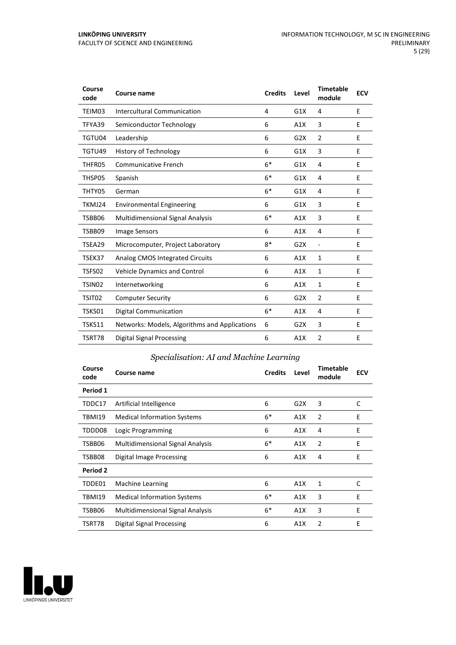| Course<br>code     | <b>Course name</b>                            | <b>Credits</b> | Level            | <b>Timetable</b><br>module   | <b>ECV</b> |
|--------------------|-----------------------------------------------|----------------|------------------|------------------------------|------------|
| TEIM03             | Intercultural Communication                   | 4              | G1X              | 4                            | E          |
| TFYA39             | Semiconductor Technology                      | 6              | A1X              | 3                            | Е          |
| TGTU04             | Leadership                                    | 6              | G <sub>2</sub> X | 2                            | E          |
| TGTU49             | <b>History of Technology</b>                  | 6              | G1X              | 3                            | E          |
| THFR05             | <b>Communicative French</b>                   | $6*$           | G1X              | 4                            | E          |
| THSP05             | Spanish                                       | $6*$           | G1X              | 4                            | E          |
| THTY05             | German                                        | $6*$           | G1X              | 4                            | E          |
| TKMJ24             | <b>Environmental Engineering</b>              | 6              | G1X              | 3                            | E          |
| TSBB06             | <b>Multidimensional Signal Analysis</b>       | $6*$           | A1X              | 3                            | E          |
| TSBB09             | Image Sensors                                 | 6              | A1X              | 4                            | Е          |
| TSEA29             | Microcomputer, Project Laboratory             | $8*$           | G2X              | $\qquad \qquad \blacksquare$ | E          |
| TSEK37             | Analog CMOS Integrated Circuits               | 6              | A1X              | $\mathbf{1}$                 | Е          |
| TSFS02             | Vehicle Dynamics and Control                  | 6              | A1X              | $\mathbf{1}$                 | E          |
| TSIN <sub>02</sub> | Internetworking                               | 6              | A1X              | $\mathbf{1}$                 | E          |
| TSIT02             | <b>Computer Security</b>                      | 6              | G2X              | $\overline{2}$               | E          |
| TSKS01             | <b>Digital Communication</b>                  | $6*$           | A1X              | 4                            | E          |
| <b>TSKS11</b>      | Networks: Models, Algorithms and Applications | 6              | G2X              | 3                            | E          |
| TSRT78             | Digital Signal Processing                     | 6              | A1X              | 2                            | E          |

#### *Specialisation: AI and Machine Learning*

| Course<br>code | Course name                             | <b>Credits</b> | Level | <b>Timetable</b><br>module | <b>ECV</b> |
|----------------|-----------------------------------------|----------------|-------|----------------------------|------------|
| Period 1       |                                         |                |       |                            |            |
| TDDC17         | Artificial Intelligence                 | 6              | G2X   | 3                          | C          |
| <b>TBMI19</b>  | <b>Medical Information Systems</b>      | $6*$           | A1X   | 2                          | Ε          |
| TDDD08         | Logic Programming                       | 6              | A1X   | 4                          | Ε          |
| TSBB06         | <b>Multidimensional Signal Analysis</b> | $6*$           | A1X   | 2                          | E          |
| TSBB08         | Digital Image Processing                | 6              | A1X   | 4                          | E          |
| Period 2       |                                         |                |       |                            |            |
| TDDE01         | <b>Machine Learning</b>                 | 6              | A1X   | 1                          | C          |
| <b>TBMI19</b>  | <b>Medical Information Systems</b>      | $6*$           | A1X   | 3                          | E          |
| TSBB06         | <b>Multidimensional Signal Analysis</b> | $6*$           | A1X   | 3                          | E          |
| TSRT78         | Digital Signal Processing               | 6              | A1X   | 2                          | E          |

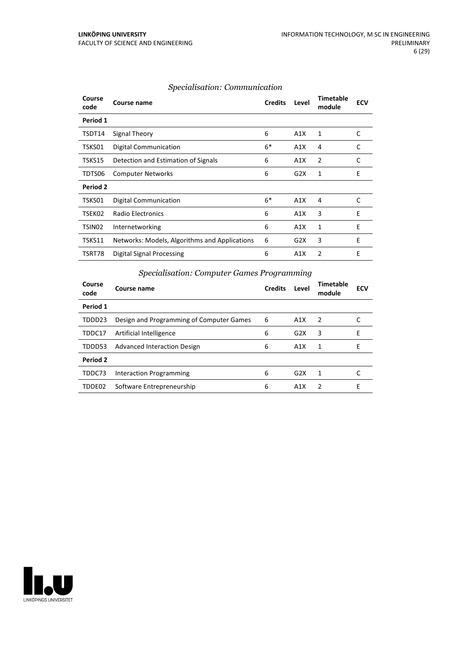| Course name                                   | <b>Credits</b> | Level | <b>Timetable</b><br>module | <b>ECV</b> |
|-----------------------------------------------|----------------|-------|----------------------------|------------|
|                                               |                |       |                            |            |
| Signal Theory                                 | 6              | A1X   | 1                          | C          |
| Digital Communication                         | $6*$           | A1X   | 4                          | C          |
| Detection and Estimation of Signals           | 6              | A1X   | 2                          | C          |
| <b>Computer Networks</b>                      | 6              | G2X   | 1                          | E          |
|                                               |                |       |                            |            |
| Digital Communication                         | $6*$           | A1X   | 4                          | C          |
| <b>Radio Electronics</b>                      | 6              | A1X   | 3                          | E          |
| Internetworking                               | 6              | A1X   | 1                          | E          |
| Networks: Models, Algorithms and Applications | 6              | G2X   | 3                          | E          |
| Digital Signal Processing                     | 6              | A1X   | 2                          | E          |
|                                               |                |       |                            |            |

#### *Specialisation: Communication*

#### *Specialisation: Computer Games Programming*

| Course<br>code | Course name                              | <b>Credits</b> | Level | Timetable<br>module | <b>ECV</b> |
|----------------|------------------------------------------|----------------|-------|---------------------|------------|
| Period 1       |                                          |                |       |                     |            |
| TDDD23         | Design and Programming of Computer Games | 6              | A1X   | 2                   |            |
| TDDC17         | Artificial Intelligence                  | 6              | G2X   | 3                   | Е          |
| TDDD53         | <b>Advanced Interaction Design</b>       | 6              | A1X   | 1                   | F          |
| Period 2       |                                          |                |       |                     |            |
| TDDC73         | Interaction Programming                  | 6              | G2X   | 1                   |            |
| TDDE02         | Software Entrepreneurship                | 6              | A1X   | $\mathcal{P}$       | F          |

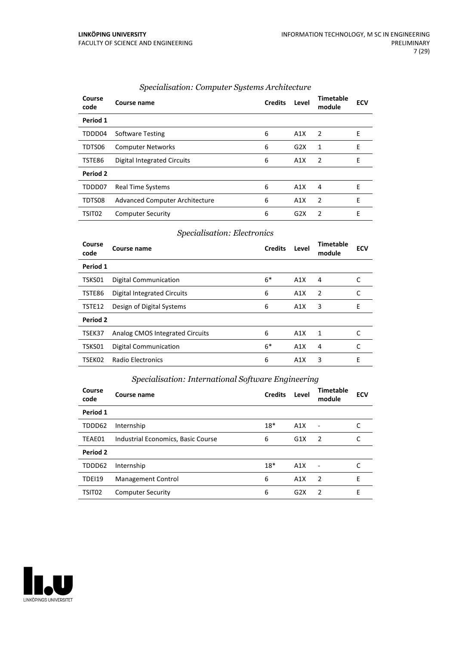| Course<br>code | Course name                           | <b>Credits</b> | Level | <b>Timetable</b><br>module | <b>ECV</b> |
|----------------|---------------------------------------|----------------|-------|----------------------------|------------|
| Period 1       |                                       |                |       |                            |            |
| TDDD04         | <b>Software Testing</b>               | 6              | A1X   | $\overline{2}$             | Е          |
| TDTS06         | <b>Computer Networks</b>              | 6              | G2X   | 1                          | E          |
| TSTE86         | Digital Integrated Circuits           | 6              | A1X   | 2                          | Е          |
| Period 2       |                                       |                |       |                            |            |
| TDDD07         | <b>Real Time Systems</b>              | 6              | A1X   | 4                          | E          |
| TDTS08         | <b>Advanced Computer Architecture</b> | 6              | A1X   | 2                          | Е          |
| TSIT02         | <b>Computer Security</b>              | 6              | G2X   | 2                          | E          |

#### *Specialisation: Computer Systems Architecture*

#### *Specialisation: Electronics*

| Course<br>code | Course name                     | <b>Credits</b> | Level | <b>Timetable</b><br>module | <b>ECV</b> |
|----------------|---------------------------------|----------------|-------|----------------------------|------------|
| Period 1       |                                 |                |       |                            |            |
| TSKS01         | <b>Digital Communication</b>    | $6*$           | A1X   | 4                          |            |
| TSTE86         | Digital Integrated Circuits     | 6              | A1X   | $\overline{2}$             | C          |
| TSTE12         | Design of Digital Systems       | 6              | A1X   | 3                          | E          |
| Period 2       |                                 |                |       |                            |            |
| TSEK37         | Analog CMOS Integrated Circuits | 6              | A1X   | 1                          | C          |
| TSKS01         | <b>Digital Communication</b>    | $6*$           | A1X   | 4                          | C          |
| TSEK02         | <b>Radio Electronics</b>        | 6              | A1X   | 3                          | E          |

#### *Specialisation: International Software Engineering*

| Course<br>code     | Course name                        | <b>Credits</b> | Level            | Timetable<br>module | <b>ECV</b> |
|--------------------|------------------------------------|----------------|------------------|---------------------|------------|
| Period 1           |                                    |                |                  |                     |            |
| TDDD62             | Internship                         | $18*$          | A1X              |                     |            |
| TEAE01             | Industrial Economics, Basic Course | 6              | G1X              | $\overline{2}$      |            |
| Period 2           |                                    |                |                  |                     |            |
| TDDD62             | Internship                         | $18*$          | A1X              |                     |            |
| TDEI19             | Management Control                 | 6              | A1X              | $\overline{2}$      | E          |
| TSIT <sub>02</sub> | <b>Computer Security</b>           | 6              | G <sub>2</sub> X | $\mathcal{P}$       | F          |

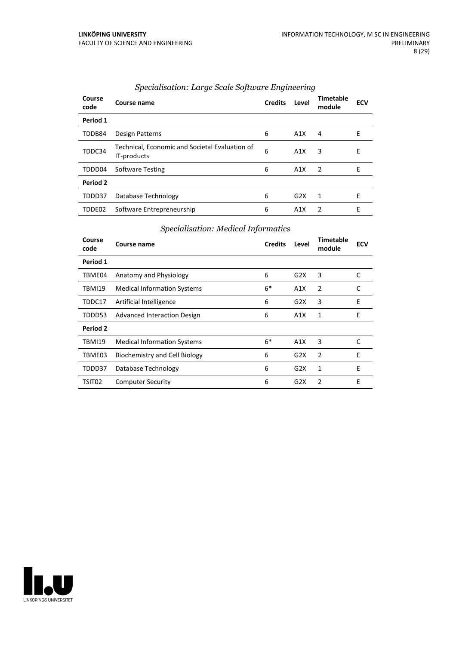| Course<br>code | Course name                                                   | <b>Credits</b> | Level            | <b>Timetable</b><br>module | <b>ECV</b> |
|----------------|---------------------------------------------------------------|----------------|------------------|----------------------------|------------|
| Period 1       |                                                               |                |                  |                            |            |
| TDDB84         | Design Patterns                                               | 6              | A1X              | 4                          | F          |
| TDDC34         | Technical, Economic and Societal Evaluation of<br>IT-products | 6              | A1X              | 3                          | E          |
| TDDD04         | <b>Software Testing</b>                                       | 6              | A1X              | $\overline{2}$             | E          |
| Period 2       |                                                               |                |                  |                            |            |
| TDDD37         | Database Technology                                           | 6              | G2X              | 1                          | Е          |
| TDDE02         | Software Entrepreneurship                                     | 6              | A <sub>1</sub> X | 2                          | E          |

#### *Specialisation: Large Scale Software Engineering*

| Course<br>code | Course name                        | <b>Credits</b> | Level | Timetable<br>module | <b>ECV</b> |
|----------------|------------------------------------|----------------|-------|---------------------|------------|
| Period 1       |                                    |                |       |                     |            |
| TBME04         | Anatomy and Physiology             | 6              | G2X   | 3                   | C          |
| TBMI19         | <b>Medical Information Systems</b> | $6*$           | A1X   | 2                   | C          |
| TDDC17         | Artificial Intelligence            | 6              | G2X   | 3                   | E          |
| TDDD53         | Advanced Interaction Design        | 6              | A1X   | 1                   | E          |
| Period 2       |                                    |                |       |                     |            |
| <b>TBMI19</b>  | <b>Medical Information Systems</b> | $6*$           | A1X   | 3                   | C          |
| TBME03         | Biochemistry and Cell Biology      | 6              | G2X   | 2                   | E          |
| TDDD37         | Database Technology                | 6              | G2X   | 1                   | E          |
| TSIT02         | <b>Computer Security</b>           | 6              | G2X   | 2                   | E          |

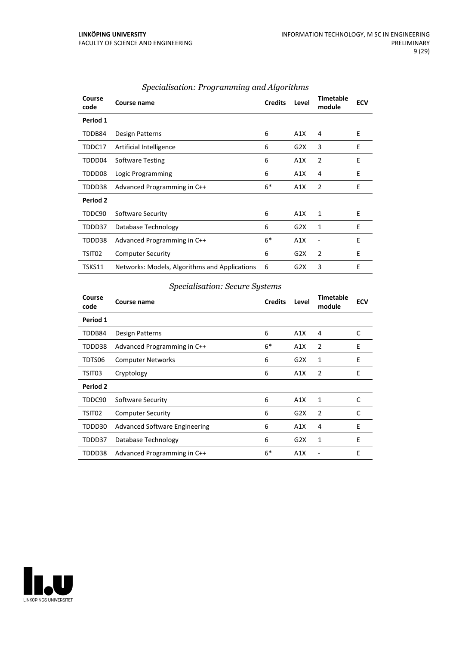| Course<br>code  | <b>Course name</b>                            | <b>Credits</b> | Level | <b>Timetable</b><br>module | <b>ECV</b> |
|-----------------|-----------------------------------------------|----------------|-------|----------------------------|------------|
| Period 1        |                                               |                |       |                            |            |
| TDDB84          | Design Patterns                               | 6              | A1X   | 4                          | E          |
| TDDC17          | Artificial Intelligence                       | 6              | G2X   | 3                          | E          |
| TDDD04          | <b>Software Testing</b>                       | 6              | A1X   | 2                          | Ε          |
| TDDD08          | Logic Programming                             | 6              | A1X   | 4                          | Е          |
| TDDD38          | Advanced Programming in C++                   | $6*$           | A1X   | 2                          | E          |
| <b>Period 2</b> |                                               |                |       |                            |            |
| TDDC90          | Software Security                             | 6              | A1X   | 1                          | E          |
| TDDD37          | Database Technology                           | 6              | G2X   | 1                          | E          |
| TDDD38          | Advanced Programming in C++                   | $6*$           | A1X   |                            | E          |
| TSIT02          | <b>Computer Security</b>                      | 6              | G2X   | 2                          | E          |
| TSKS11          | Networks: Models, Algorithms and Applications | 6              | G2X   | 3                          | E          |

#### *Specialisation: Programming and Algorithms*

#### *Specialisation: Secure Systems*

| Course<br>code | Course name                          | <b>Credits</b> | Level | <b>Timetable</b><br>module | <b>ECV</b> |
|----------------|--------------------------------------|----------------|-------|----------------------------|------------|
| Period 1       |                                      |                |       |                            |            |
| TDDB84         | Design Patterns                      | 6              | A1X   | 4                          | C          |
| TDDD38         | Advanced Programming in C++          | $6*$           | A1X   | $\overline{2}$             | E          |
| TDTS06         | <b>Computer Networks</b>             | 6              | G2X   | 1                          | E          |
| TSIT03         | Cryptology                           | 6              | A1X   | 2                          | E          |
| Period 2       |                                      |                |       |                            |            |
| TDDC90         | Software Security                    | 6              | A1X   | 1                          | C          |
| TSIT02         | <b>Computer Security</b>             | 6              | G2X   | $\overline{2}$             | C          |
| TDDD30         | <b>Advanced Software Engineering</b> | 6              | A1X   | 4                          | E          |
| TDDD37         | Database Technology                  | 6              | G2X   | 1                          | Е          |
| TDDD38         | Advanced Programming in C++          | 6*             | A1X   |                            | E          |

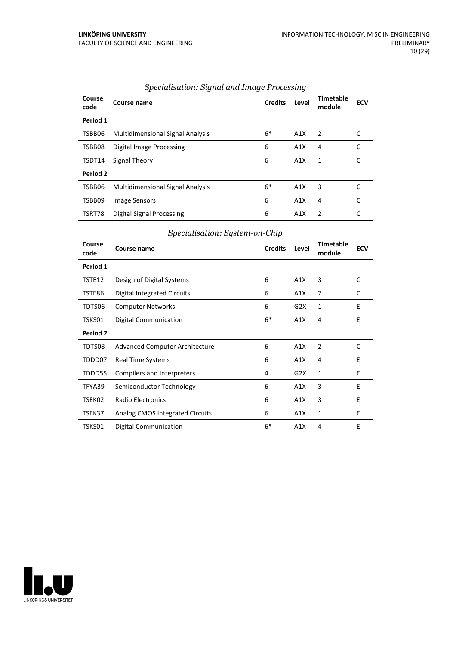| Course<br>code | Course name                             | <b>Credits</b> | Level            | <b>Timetable</b><br>module | <b>ECV</b> |
|----------------|-----------------------------------------|----------------|------------------|----------------------------|------------|
| Period 1       |                                         |                |                  |                            |            |
| TSBB06         | <b>Multidimensional Signal Analysis</b> | $6*$           | A1X              | -2                         |            |
| TSBB08         | Digital Image Processing                | 6              | A1X              | 4                          |            |
| TSDT14         | Signal Theory                           | 6              | A1X              | 1                          |            |
| Period 2       |                                         |                |                  |                            |            |
| TSBB06         | <b>Multidimensional Signal Analysis</b> | $6*$           | A1X              | 3                          |            |
| TSBB09         | Image Sensors                           | 6              | A1X              | 4                          | C          |
| TSRT78         | Digital Signal Processing               | 6              | A <sub>1</sub> X | 2                          |            |

#### *Specialisation: Signal and Image Processing*

#### *Specialisation: System-on-Chip*

| Course<br>code | Course name                        | <b>Credits</b> | Level | <b>Timetable</b><br>module | <b>ECV</b> |
|----------------|------------------------------------|----------------|-------|----------------------------|------------|
| Period 1       |                                    |                |       |                            |            |
| TSTE12         | Design of Digital Systems          | 6              | A1X   | 3                          | C          |
| TSTE86         | <b>Digital Integrated Circuits</b> | 6              | A1X   | $\overline{2}$             | C          |
| TDTS06         | <b>Computer Networks</b>           | 6              | G2X   | 1                          | E          |
| TSKS01         | <b>Digital Communication</b>       | $6*$           | A1X   | 4                          | E          |
| Period 2       |                                    |                |       |                            |            |
| TDTS08         | Advanced Computer Architecture     | 6              | A1X   | 2                          | C          |
| TDDD07         | <b>Real Time Systems</b>           | 6              | A1X   | 4                          | E          |
| TDDD55         | Compilers and Interpreters         | 4              | G2X   | 1                          | E          |
| TFYA39         | Semiconductor Technology           | 6              | A1X   | 3                          | E          |
| TSEK02         | Radio Electronics                  | 6              | A1X   | 3                          | E          |
| TSEK37         | Analog CMOS Integrated Circuits    | 6              | A1X   | 1                          | E          |
| TSKS01         | <b>Digital Communication</b>       | $6*$           | A1X   | 4                          | E          |

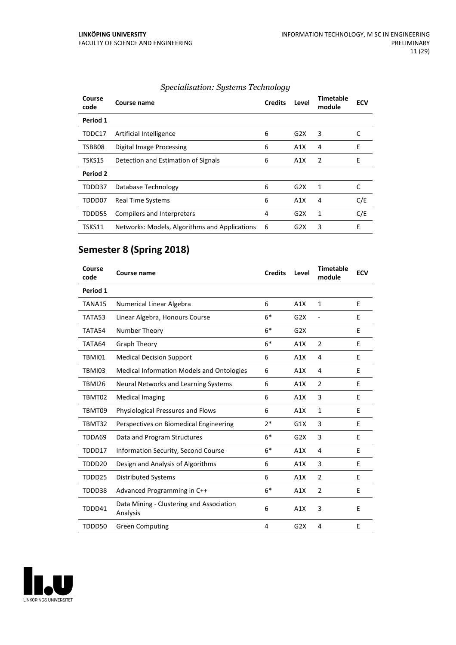| Course<br>code  | Course name                                   | <b>Credits</b> | Level | <b>Timetable</b><br>module | <b>ECV</b> |
|-----------------|-----------------------------------------------|----------------|-------|----------------------------|------------|
| Period 1        |                                               |                |       |                            |            |
| TDDC17          | Artificial Intelligence                       | 6              | G2X   | 3                          | C          |
| TSBB08          | Digital Image Processing                      | 6              | A1X   | 4                          | E          |
| TSKS15          | Detection and Estimation of Signals           | 6              | A1X   | 2                          | Ε          |
| <b>Period 2</b> |                                               |                |       |                            |            |
| TDDD37          | Database Technology                           | 6              | G2X   | 1                          | С          |
| TDDD07          | <b>Real Time Systems</b>                      | 6              | A1X   | 4                          | C/E        |
| TDDD55          | Compilers and Interpreters                    | 4              | G2X   | 1                          | C/E        |
| TSKS11          | Networks: Models, Algorithms and Applications | 6              | G2X   | 3                          | E          |

#### *Specialisation: Systems Technology*

# **Semester 8 (Spring 2018)**

| Course<br>code | Course name                                          | <b>Credits</b> | Level | <b>Timetable</b><br>module | <b>ECV</b> |
|----------------|------------------------------------------------------|----------------|-------|----------------------------|------------|
| Period 1       |                                                      |                |       |                            |            |
| TANA15         | Numerical Linear Algebra                             | 6              | A1X   | $\mathbf{1}$               | E          |
| TATA53         | Linear Algebra, Honours Course                       | $6*$           | G2X   |                            | E          |
| TATA54         | Number Theory                                        | $6*$           | G2X   |                            | E          |
| TATA64         | <b>Graph Theory</b>                                  | $6*$           | A1X   | $\overline{2}$             | E          |
| <b>TBMI01</b>  | <b>Medical Decision Support</b>                      | 6              | A1X   | $\overline{4}$             | E          |
| TBMI03         | <b>Medical Information Models and Ontologies</b>     | 6              | A1X   | 4                          | E          |
| TBMI26         | Neural Networks and Learning Systems                 | 6              | A1X   | $\overline{2}$             | Е          |
| TBMT02         | <b>Medical Imaging</b>                               | 6              | A1X   | 3                          | E          |
| TBMT09         | Physiological Pressures and Flows                    | 6              | A1X   | 1                          | E          |
| TBMT32         | Perspectives on Biomedical Engineering               | $2*$           | G1X   | 3                          | E          |
| TDDA69         | Data and Program Structures                          | $6*$           | G2X   | 3                          | E          |
| TDDD17         | <b>Information Security, Second Course</b>           | $6*$           | A1X   | 4                          | E          |
| TDDD20         | Design and Analysis of Algorithms                    | 6              | A1X   | 3                          | E          |
| TDDD25         | <b>Distributed Systems</b>                           | 6              | A1X   | $\overline{2}$             | E          |
| TDDD38         | Advanced Programming in C++                          | $6*$           | A1X   | $\overline{2}$             | Е          |
| TDDD41         | Data Mining - Clustering and Association<br>Analysis | 6              | A1X   | 3                          | E          |
| TDDD50         | <b>Green Computing</b>                               | 4              | G2X   | 4                          | Е          |

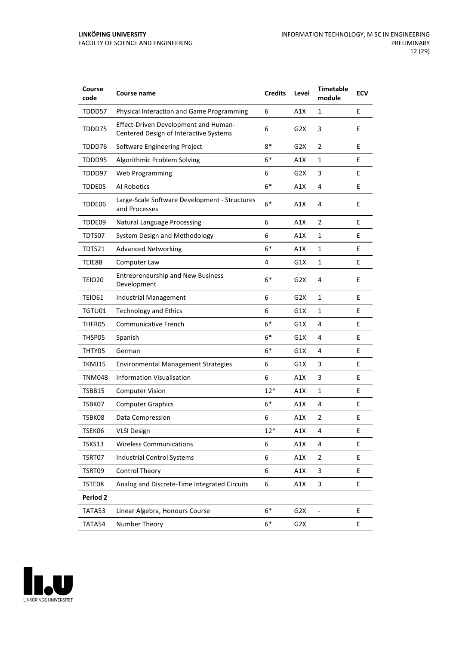| Course<br>code | Course name                                                                    | <b>Credits</b> | Level            | <b>Timetable</b><br>module | <b>ECV</b> |
|----------------|--------------------------------------------------------------------------------|----------------|------------------|----------------------------|------------|
| TDDD57         | Physical Interaction and Game Programming                                      | 6              | A1X              | 1                          | E          |
| TDDD75         | Effect-Driven Development and Human-<br>Centered Design of Interactive Systems | 6              | G2X              | 3                          | E          |
| TDDD76         | Software Engineering Project                                                   | $8*$           | G <sub>2</sub> X | $\overline{2}$             | E          |
| TDDD95         | Algorithmic Problem Solving                                                    | $6*$           | A1X              | 1                          | E          |
| TDDD97         | <b>Web Programming</b>                                                         | 6              | G2X              | 3                          | E          |
| TDDE05         | Al Robotics                                                                    | $6*$           | A1X              | 4                          | Е          |
| TDDE06         | Large-Scale Software Development - Structures<br>and Processes                 | $6*$           | A1X              | 4                          | E          |
| TDDE09         | Natural Language Processing                                                    | 6              | A1X              | 2                          | E          |
| TDTS07         | System Design and Methodology                                                  | 6              | A1X              | 1                          | E          |
| TDTS21         | <b>Advanced Networking</b>                                                     | $6*$           | A1X              | $\mathbf{1}$               | Е          |
| TEIE88         | Computer Law                                                                   | 4              | G1X              | 1                          | E          |
| <b>TEIO20</b>  | <b>Entrepreneurship and New Business</b><br>Development                        | $6*$           | G <sub>2</sub> X | 4                          | E          |
| <b>TEIO61</b>  | Industrial Management                                                          | 6              | G2X              | 1                          | E          |
| TGTU01         | <b>Technology and Ethics</b>                                                   | 6              | G1X              | $\mathbf{1}$               | E          |
| THFR05         | <b>Communicative French</b>                                                    | $6*$           | G1X              | 4                          | E          |
| THSP05         | Spanish                                                                        | $6*$           | G1X              | 4                          | E          |
| THTY05         | German                                                                         | 6*             | G1X              | 4                          | E          |
| TKMJ15         | <b>Environmental Management Strategies</b>                                     | 6              | G1X              | 3                          | E          |
| <b>TNM048</b>  | <b>Information Visualisation</b>                                               | 6              | A1X              | 3                          | Е          |
| <b>TSBB15</b>  | <b>Computer Vision</b>                                                         | $12*$          | A1X              | $\mathbf{1}$               | E          |
| TSBK07         | <b>Computer Graphics</b>                                                       | $6*$           | A1X              | 4                          | E          |
| TSBK08         | Data Compression                                                               | 6              | A1X              | $\overline{2}$             | E          |
| TSEK06         | <b>VLSI Design</b>                                                             | 12*            | A1X              | 4                          | E          |
| TSKS13         | <b>Wireless Communications</b>                                                 | 6              | A1X              | 4                          | E          |
| TSRT07         | <b>Industrial Control Systems</b>                                              | 6              | A1X              | $\overline{2}$             | E          |
| TSRT09         | <b>Control Theory</b>                                                          | 6              | A1X              | 3                          | E.         |
| TSTE08         | Analog and Discrete-Time Integrated Circuits                                   | 6              | A1X              | 3                          | E          |
| Period 2       |                                                                                |                |                  |                            |            |
| TATA53         | Linear Algebra, Honours Course                                                 | $6*$           | G <sub>2</sub> X |                            | E          |
| TATA54         | Number Theory                                                                  | $6*$           | G2X              |                            | E          |

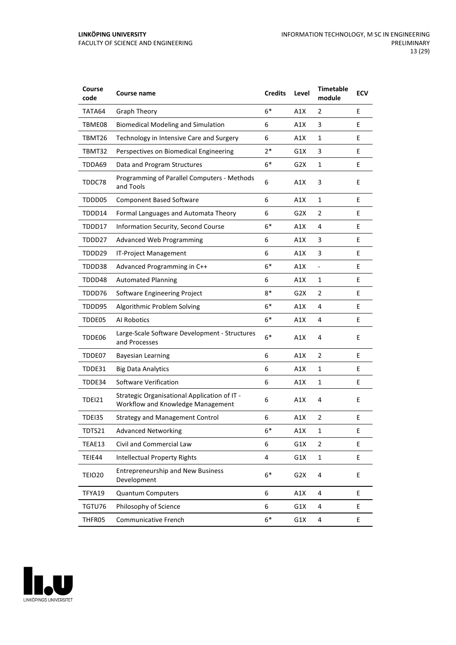| Course<br>code     | <b>Course name</b>                                                                | <b>Credits</b> | Level            | <b>Timetable</b><br>module   | <b>ECV</b> |
|--------------------|-----------------------------------------------------------------------------------|----------------|------------------|------------------------------|------------|
| TATA64             | <b>Graph Theory</b>                                                               | $6*$           | A1X              | 2                            | E          |
| TBME08             | <b>Biomedical Modeling and Simulation</b>                                         | 6              | A1X              | 3                            | Е          |
| TBMT26             | Technology in Intensive Care and Surgery                                          | 6              | A1X              | 1                            | E          |
| TBMT32             | Perspectives on Biomedical Engineering                                            | $2*$           | G1X              | 3                            | E          |
| TDDA69             | Data and Program Structures                                                       | $6*$           | G2X              | 1                            | E          |
| TDDC78             | Programming of Parallel Computers - Methods<br>and Tools                          | 6              | A1X              | 3                            | Е          |
| TDDD05             | <b>Component Based Software</b>                                                   | 6              | A1X              | 1                            | Е          |
| TDDD14             | Formal Languages and Automata Theory                                              | 6              | G2X              | $\overline{2}$               | E          |
| TDDD17             | Information Security, Second Course                                               | $6*$           | A1X              | 4                            | E          |
| TDDD27             | <b>Advanced Web Programming</b>                                                   | 6              | A1X              | 3                            | E          |
| TDDD29             | IT-Project Management                                                             | 6              | A1X              | 3                            | Е          |
| TDDD38             | Advanced Programming in C++                                                       | $6*$           | A1X              | $\qquad \qquad \blacksquare$ | E          |
| TDDD48             | <b>Automated Planning</b>                                                         | 6              | A1X              | 1                            | E          |
| TDDD76             | Software Engineering Project                                                      | 8*             | G2X              | 2                            | E          |
| TDDD95             | Algorithmic Problem Solving                                                       | $6*$           | A1X              | 4                            | E          |
| TDDE05             | Al Robotics                                                                       | $6*$           | A1X              | 4                            | Е          |
| TDDE06             | Large-Scale Software Development - Structures<br>and Processes                    | $6*$           | A1X              | 4                            | E          |
| TDDE07             | <b>Bayesian Learning</b>                                                          | 6              | A1X              | $\overline{2}$               | E          |
| TDDE31             | <b>Big Data Analytics</b>                                                         | 6              | A1X              | 1                            | E          |
| TDDE34             | Software Verification                                                             | 6              | A1X              | $\mathbf{1}$                 | Е          |
| <b>TDEI21</b>      | Strategic Organisational Application of IT -<br>Workflow and Knowledge Management | 6              | A1X              | 4                            | E          |
| <b>TDEI35</b>      | <b>Strategy and Management Control</b>                                            | 6              | A1X              | $\overline{2}$               | E          |
| TDTS21             | <b>Advanced Networking</b>                                                        | 6*             | A1X              | 1                            | E          |
| TEAE13             | Civil and Commercial Law                                                          | 6              | G1X              | $\overline{2}$               | E.         |
| TEIE44             | <b>Intellectual Property Rights</b>                                               | 4              | G1X              | $\mathbf{1}$                 | E          |
| TEIO <sub>20</sub> | <b>Entrepreneurship and New Business</b><br>Development                           | $6*$           | G <sub>2</sub> X | 4                            | E          |
| TFYA19             | <b>Quantum Computers</b>                                                          | 6              | A1X              | 4                            | E          |
| TGTU76             | Philosophy of Science                                                             | 6              | G1X              | 4                            | E          |
| THFR05             | <b>Communicative French</b>                                                       | $6*$           | G1X              | 4                            | E          |

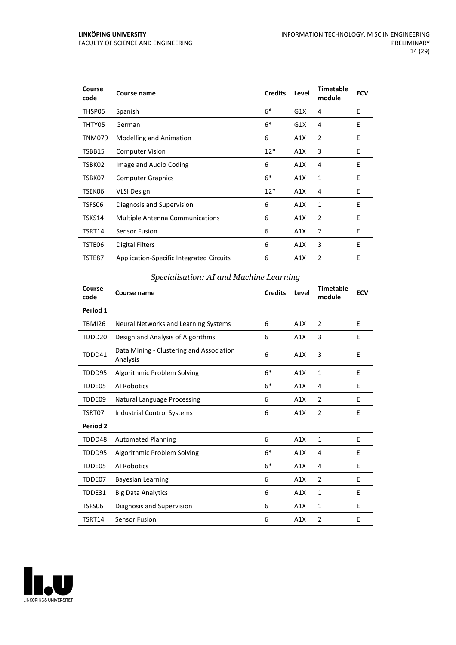| Course<br>code | <b>Course name</b>                       | <b>Credits</b> | Level | <b>Timetable</b><br>module | <b>ECV</b> |
|----------------|------------------------------------------|----------------|-------|----------------------------|------------|
| THSP05         | Spanish                                  | $6*$           | G1X   | 4                          | E          |
| THTY05         | German                                   | $6*$           | G1X   | 4                          | E          |
| TNM079         | <b>Modelling and Animation</b>           | 6              | A1X   | $\overline{2}$             | E          |
| TSBB15         | <b>Computer Vision</b>                   | $12*$          | A1X   | 3                          | E          |
| TSBK02         | Image and Audio Coding                   | 6              | A1X   | 4                          | E          |
| TSBK07         | <b>Computer Graphics</b>                 | $6*$           | A1X   | 1                          | E          |
| TSEK06         | <b>VLSI Design</b>                       | $12*$          | A1X   | 4                          | E          |
| TSFS06         | Diagnosis and Supervision                | 6              | A1X   | 1                          | E          |
| TSKS14         | <b>Multiple Antenna Communications</b>   | 6              | A1X   | 2                          | E          |
| TSRT14         | <b>Sensor Fusion</b>                     | 6              | A1X   | $\overline{2}$             | E          |
| TSTE06         | <b>Digital Filters</b>                   | 6              | A1X   | 3                          | E          |
| TSTE87         | Application-Specific Integrated Circuits | 6              | A1X   | 2                          | E          |

#### *Specialisation: AI and Machine Learning*

| Course<br>code | <b>Course name</b>                                   | <b>Credits</b> | Level | <b>Timetable</b><br>module | <b>ECV</b> |
|----------------|------------------------------------------------------|----------------|-------|----------------------------|------------|
| Period 1       |                                                      |                |       |                            |            |
| <b>TBMI26</b>  | Neural Networks and Learning Systems                 | 6              | A1X   | $\overline{2}$             | E          |
| TDDD20         | Design and Analysis of Algorithms                    | 6              | A1X   | 3                          | E          |
| TDDD41         | Data Mining - Clustering and Association<br>Analysis | 6              | A1X   | 3                          | E          |
| TDDD95         | Algorithmic Problem Solving                          | $6*$           | A1X   | $\mathbf{1}$               | E          |
| TDDE05         | Al Robotics                                          | $6*$           | A1X   | 4                          | Ε          |
| TDDE09         | <b>Natural Language Processing</b>                   | 6              | A1X   | $\overline{2}$             | E          |
| TSRT07         | <b>Industrial Control Systems</b>                    | 6              | A1X   | $\overline{2}$             | E          |
| Period 2       |                                                      |                |       |                            |            |
| TDDD48         | <b>Automated Planning</b>                            | 6              | A1X   | $\mathbf{1}$               | E          |
| TDDD95         | Algorithmic Problem Solving                          | $6*$           | A1X   | 4                          | E          |
| TDDE05         | Al Robotics                                          | $6*$           | A1X   | 4                          | E          |
| TDDE07         | <b>Bayesian Learning</b>                             | 6              | A1X   | 2                          | E          |
| TDDE31         | <b>Big Data Analytics</b>                            | 6              | A1X   | $\mathbf{1}$               | E          |
| TSFS06         | Diagnosis and Supervision                            | 6              | A1X   | $\mathbf{1}$               | E          |
| TSRT14         | Sensor Fusion                                        | 6              | A1X   | $\overline{2}$             | E          |

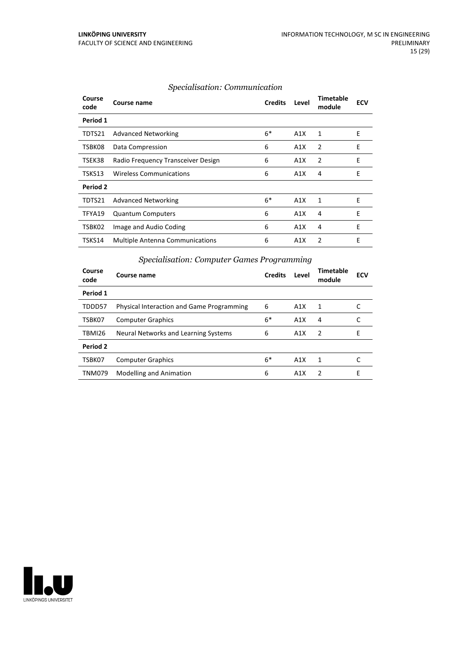| Course<br>code | Course name                            | <b>Credits</b> | Level | Timetable<br>module | <b>ECV</b> |
|----------------|----------------------------------------|----------------|-------|---------------------|------------|
| Period 1       |                                        |                |       |                     |            |
| TDTS21         | <b>Advanced Networking</b>             | $6*$           | A1X   | 1                   | Ε          |
| TSBK08         | Data Compression                       | 6              | A1X   | 2                   | E          |
| TSEK38         | Radio Frequency Transceiver Design     | 6              | A1X   | 2                   | E          |
| TSKS13         | <b>Wireless Communications</b>         | 6              | A1X   | 4                   | E          |
| Period 2       |                                        |                |       |                     |            |
| TDTS21         | <b>Advanced Networking</b>             | $6*$           | A1X   | 1                   | E          |
| TFYA19         | <b>Quantum Computers</b>               | 6              | A1X   | 4                   | E          |
| TSBK02         | Image and Audio Coding                 | 6              | A1X   | 4                   | E          |
| TSKS14         | <b>Multiple Antenna Communications</b> | 6              | A1X   | $\mathfrak{p}$      | E          |

#### *Specialisation: Communication*

#### **Course code Course name Credits Level Timetable module ECV Period 1** TDDD57 Physical Interaction and Game Programming 6 A1X 1 C TSBK07 Computer Graphics 6\* A1X 4 C TBMI26 Neural Networks and Learning Systems 6 A1X 2 E **Period 2** TSBK07 Computer Graphics 6\* A1X 1 TNM079 Modelling and Animation **6** A1X 2 E

#### *Specialisation: Computer Games Programming*

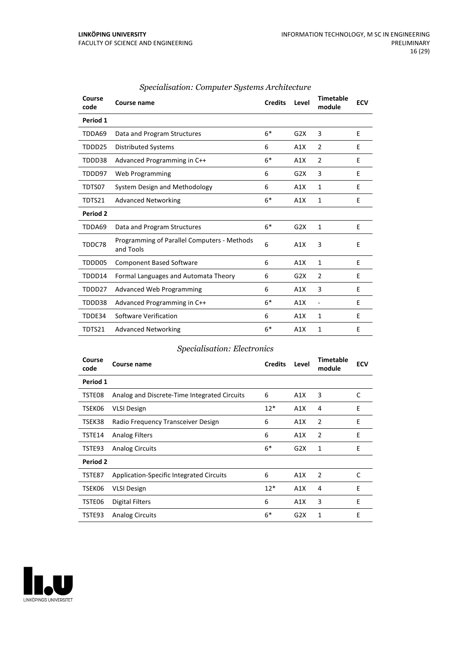| Course<br>code | Course name                                              | <b>Credits</b> | Level | <b>Timetable</b><br>module | <b>ECV</b> |
|----------------|----------------------------------------------------------|----------------|-------|----------------------------|------------|
| Period 1       |                                                          |                |       |                            |            |
| TDDA69         | Data and Program Structures                              | $6*$           | G2X   | 3                          | E          |
| TDDD25         | <b>Distributed Systems</b>                               | 6              | A1X   | $\overline{2}$             | E          |
| TDDD38         | Advanced Programming in C++                              | $6*$           | A1X   | 2                          | E          |
| TDDD97         | Web Programming                                          | 6              | G2X   | 3                          | E          |
| TDTS07         | System Design and Methodology                            | 6              | A1X   | 1                          | E          |
| TDTS21         | <b>Advanced Networking</b>                               | $6*$           | A1X   | $\mathbf{1}$               | F          |
| Period 2       |                                                          |                |       |                            |            |
| TDDA69         | Data and Program Structures                              | $6*$           | G2X   | 1                          | E          |
| TDDC78         | Programming of Parallel Computers - Methods<br>and Tools | 6              | A1X   | 3                          | E          |
| TDDD05         | <b>Component Based Software</b>                          | 6              | A1X   | $\mathbf{1}$               | E          |
| TDDD14         | Formal Languages and Automata Theory                     | 6              | G2X   | $\overline{2}$             | E          |
| TDDD27         | <b>Advanced Web Programming</b>                          | 6              | A1X   | 3                          | E          |
| TDDD38         | Advanced Programming in C++                              | $6*$           | A1X   | $\overline{\phantom{a}}$   | E          |
| TDDE34         | Software Verification                                    | 6              | A1X   | 1                          | E          |
| TDTS21         | <b>Advanced Networking</b>                               | $6*$           | A1X   | 1                          | E          |

#### *Specialisation: Computer Systems Architecture*

#### *Specialisation: Electronics*

| Course<br>code | Course name                                     | <b>Credits</b> | Level | <b>Timetable</b><br>module | <b>ECV</b> |
|----------------|-------------------------------------------------|----------------|-------|----------------------------|------------|
| Period 1       |                                                 |                |       |                            |            |
| TSTE08         | Analog and Discrete-Time Integrated Circuits    | 6              | A1X   | 3                          | C          |
| TSEK06         | <b>VLSI Design</b>                              | $12*$          | A1X   | 4                          | E          |
| TSEK38         | Radio Frequency Transceiver Design              | 6              | A1X   | 2                          | E          |
| TSTE14         | <b>Analog Filters</b>                           | 6              | A1X   | 2                          | E          |
| TSTE93         | <b>Analog Circuits</b>                          | $6*$           | G2X   | 1                          | E          |
| Period 2       |                                                 |                |       |                            |            |
| TSTE87         | <b>Application-Specific Integrated Circuits</b> | 6              | A1X   | 2                          | C          |
| TSEK06         | <b>VLSI Design</b>                              | $12*$          | A1X   | 4                          | E          |
| TSTE06         | <b>Digital Filters</b>                          | 6              | A1X   | 3                          | E          |
| TSTE93         | <b>Analog Circuits</b>                          | $6*$           | G2X   | 1                          | E          |

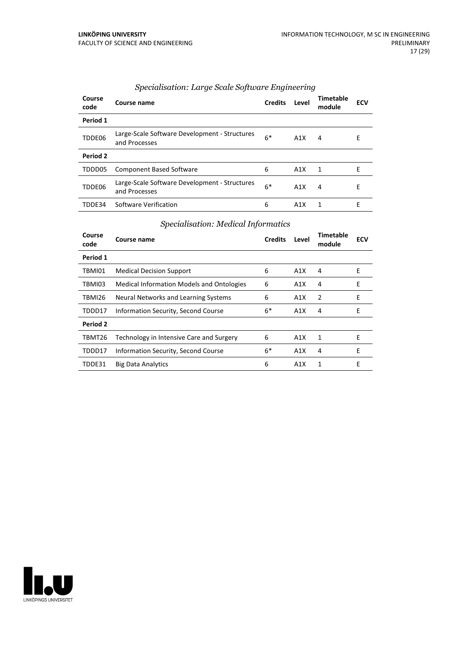| Course<br>code | Course name                                                    | <b>Credits</b> | Level | Timetable<br>module | <b>ECV</b> |
|----------------|----------------------------------------------------------------|----------------|-------|---------------------|------------|
| Period 1       |                                                                |                |       |                     |            |
| TDDE06         | Large-Scale Software Development - Structures<br>and Processes | $6*$           | A1X   | 4                   | E          |
| Period 2       |                                                                |                |       |                     |            |
| TDDD05         | <b>Component Based Software</b>                                | 6              | A1X   | 1                   | F          |
| TDDE06         | Large-Scale Software Development - Structures<br>and Processes | $6*$           | A1X   | 4                   | E          |
| TDDF34         | Software Verification                                          | 6              | A1X   | 1                   | F          |

#### *Specialisation: Large Scale Software Engineering*

#### *Specialisation: Medical Informatics*

| Course<br>code | Course name                                      | <b>Credits</b> | Level            | <b>Timetable</b><br>module | <b>ECV</b> |
|----------------|--------------------------------------------------|----------------|------------------|----------------------------|------------|
| Period 1       |                                                  |                |                  |                            |            |
| TBMI01         | <b>Medical Decision Support</b>                  | 6              | A1X              | 4                          | F          |
| TBMI03         | <b>Medical Information Models and Ontologies</b> | 6              | A1X              | 4                          | E          |
| TBMI26         | Neural Networks and Learning Systems             | 6              | A1X              | 2                          | E          |
| TDDD17         | Information Security, Second Course              | $6*$           | A1X              | 4                          | E          |
| Period 2       |                                                  |                |                  |                            |            |
| TBMT26         | Technology in Intensive Care and Surgery         | 6              | A1X              | 1                          | E          |
| TDDD17         | Information Security, Second Course              | $6*$           | A1X              | 4                          | E          |
| TDDE31         | <b>Big Data Analytics</b>                        | 6              | A <sub>1</sub> X | 1                          | Е          |

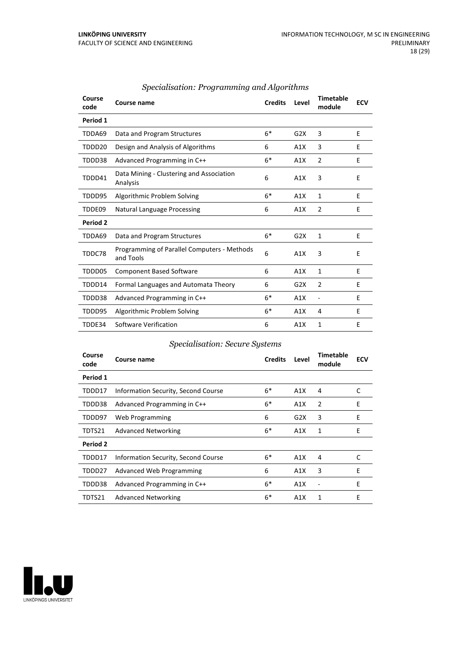| Course<br>code | Course name                                              | <b>Credits</b> | Level | <b>Timetable</b><br>module | <b>ECV</b> |
|----------------|----------------------------------------------------------|----------------|-------|----------------------------|------------|
| Period 1       |                                                          |                |       |                            |            |
| TDDA69         | Data and Program Structures                              | $6*$           | G2X   | 3                          | E          |
| TDDD20         | Design and Analysis of Algorithms                        | 6              | A1X   | 3                          | E          |
| TDDD38         | Advanced Programming in C++                              | $6*$           | A1X   | $\overline{2}$             | E          |
| TDDD41         | Data Mining - Clustering and Association<br>Analysis     | 6              | A1X   | 3                          | E          |
| TDDD95         | Algorithmic Problem Solving                              | $6*$           | A1X   | $\mathbf{1}$               | E          |
| TDDE09         | <b>Natural Language Processing</b>                       | 6              | A1X   | $\overline{2}$             | E          |
| Period 2       |                                                          |                |       |                            |            |
| TDDA69         | Data and Program Structures                              | $6*$           | G2X   | $\mathbf{1}$               | E          |
| TDDC78         | Programming of Parallel Computers - Methods<br>and Tools | 6              | A1X   | 3                          | E          |
| TDDD05         | <b>Component Based Software</b>                          | 6              | A1X   | 1                          | E          |
| TDDD14         | Formal Languages and Automata Theory                     | 6              | G2X   | $\overline{2}$             | E          |
| TDDD38         | Advanced Programming in C++                              | $6*$           | A1X   | ٠                          | E          |
| TDDD95         | Algorithmic Problem Solving                              | $6*$           | A1X   | 4                          | E          |
| TDDE34         | Software Verification                                    | 6              | A1X   | 1                          | E          |

#### *Specialisation: Programming and Algorithms*

#### *Specialisation: Secure Systems*

| Course<br>code | Course name                         | <b>Credits</b> | Level | Timetable<br>module | <b>ECV</b> |
|----------------|-------------------------------------|----------------|-------|---------------------|------------|
| Period 1       |                                     |                |       |                     |            |
| TDDD17         | Information Security, Second Course | $6*$           | A1X   | 4                   | C          |
| TDDD38         | Advanced Programming in C++         | $6*$           | A1X   | 2                   | E          |
| TDDD97         | Web Programming                     | 6              | G2X   | 3                   | E          |
| TDTS21         | <b>Advanced Networking</b>          | $6*$           | A1X   | 1                   | E          |
| Period 2       |                                     |                |       |                     |            |
| TDDD17         | Information Security, Second Course | $6*$           | A1X   | 4                   | C          |
| TDDD27         | Advanced Web Programming            | 6              | A1X   | 3                   | E          |
| TDDD38         | Advanced Programming in C++         | $6*$           | A1X   |                     | E          |
| TDTS21         | <b>Advanced Networking</b>          | $6*$           | A1X   | 1                   | E          |

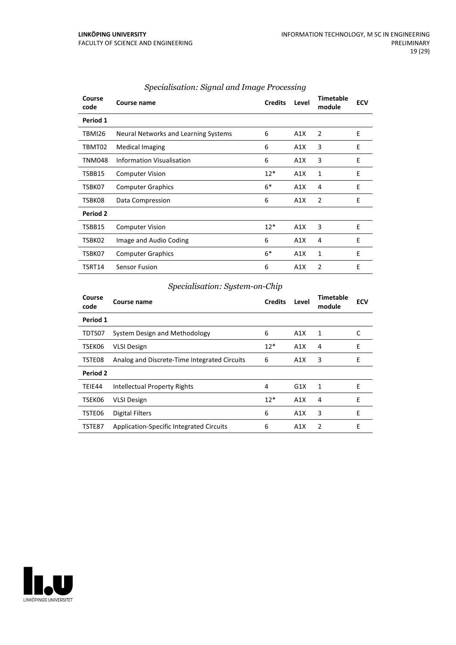| Course<br>code | Course name                          | <b>Credits</b> | Level | <b>Timetable</b><br>module | <b>ECV</b> |
|----------------|--------------------------------------|----------------|-------|----------------------------|------------|
| Period 1       |                                      |                |       |                            |            |
| TBMI26         | Neural Networks and Learning Systems | 6              | A1X   | 2                          | E          |
| TBMT02         | <b>Medical Imaging</b>               | 6              | A1X   | 3                          | E          |
| <b>TNM048</b>  | Information Visualisation            | 6              | A1X   | 3                          | E          |
| TSBB15         | <b>Computer Vision</b>               | $12*$          | A1X   | 1                          | E          |
| TSBK07         | <b>Computer Graphics</b>             | $6*$           | A1X   | 4                          | E          |
| TSBK08         | Data Compression                     | 6              | A1X   | $\overline{2}$             | E          |
| Period 2       |                                      |                |       |                            |            |
| TSBB15         | <b>Computer Vision</b>               | $12*$          | A1X   | 3                          | E          |
| TSBK02         | Image and Audio Coding               | 6              | A1X   | 4                          | E          |
| TSBK07         | <b>Computer Graphics</b>             | $6*$           | A1X   | 1                          | E          |
| TSRT14         | <b>Sensor Fusion</b>                 | 6              | A1X   | 2                          | E          |

#### *Specialisation: Signal and Image Processing*

#### *Specialisation: System-on-Chip*

| Course<br>code | Course name                                  | <b>Credits</b> | Level | Timetable<br>module | <b>ECV</b> |
|----------------|----------------------------------------------|----------------|-------|---------------------|------------|
| Period 1       |                                              |                |       |                     |            |
| TDTS07         | System Design and Methodology                | 6              | A1X   | 1                   |            |
| TSEK06         | <b>VLSI Design</b>                           | $12*$          | A1X   | 4                   | E          |
| TSTE08         | Analog and Discrete-Time Integrated Circuits | 6              | A1X   | 3                   | E          |
| Period 2       |                                              |                |       |                     |            |
| TEIE44         | Intellectual Property Rights                 | 4              | G1X   | 1                   | E          |
| TSEK06         | <b>VLSI Design</b>                           | $12*$          | A1X   | 4                   | F          |
| TSTE06         | Digital Filters                              | 6              | A1X   | 3                   | E          |
| TSTE87         | Application-Specific Integrated Circuits     | 6              | A1X   | 2                   | E          |

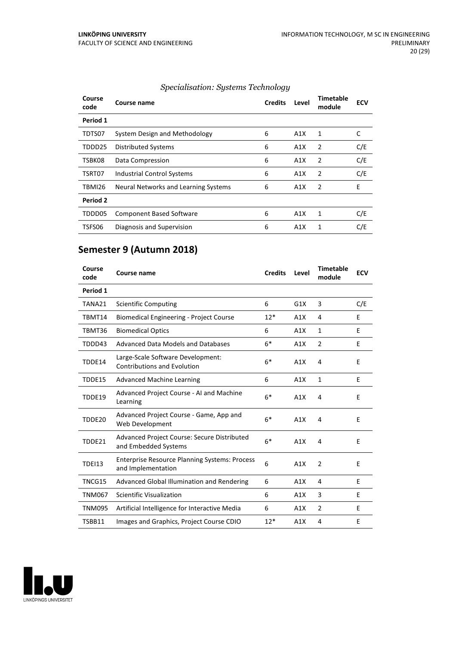| Course<br>code | Course name                          | <b>Credits</b> | Level | <b>Timetable</b><br>module | <b>ECV</b> |
|----------------|--------------------------------------|----------------|-------|----------------------------|------------|
| Period 1       |                                      |                |       |                            |            |
| TDTS07         | System Design and Methodology        | 6              | A1X   | 1                          | C          |
| TDDD25         | <b>Distributed Systems</b>           | 6              | A1X   | $\overline{2}$             | C/E        |
| TSBK08         | Data Compression                     | 6              | A1X   | $\overline{2}$             | C/E        |
| TSRT07         | <b>Industrial Control Systems</b>    | 6              | A1X   | $\overline{2}$             | C/E        |
| TBMI26         | Neural Networks and Learning Systems | 6              | A1X   | $\overline{2}$             | E          |
| Period 2       |                                      |                |       |                            |            |
| TDDD05         | <b>Component Based Software</b>      | 6              | A1X   | 1                          | C/E        |
| TSFS06         | Diagnosis and Supervision            | 6              | A1X   | 1                          | C/E        |

#### *Specialisation: Systems Technology*

## **Semester 9 (Autumn 2018)**

| Course<br>code | Course name                                                                | <b>Credits</b> | Level | <b>Timetable</b><br>module | <b>ECV</b> |
|----------------|----------------------------------------------------------------------------|----------------|-------|----------------------------|------------|
| Period 1       |                                                                            |                |       |                            |            |
| TANA21         | <b>Scientific Computing</b>                                                | 6              | G1X   | 3                          | C/E        |
| TBMT14         | <b>Biomedical Engineering - Project Course</b>                             | $12*$          | A1X   | 4                          | E          |
| TBMT36         | <b>Biomedical Optics</b>                                                   | 6              | A1X   | $\mathbf{1}$               | E          |
| TDDD43         | Advanced Data Models and Databases                                         | $6*$           | A1X   | $\overline{2}$             | E          |
| TDDE14         | Large-Scale Software Development:<br><b>Contributions and Evolution</b>    | $6*$           | A1X   | 4                          | F          |
| TDDE15         | <b>Advanced Machine Learning</b>                                           | 6              | A1X   | $\mathbf{1}$               | E          |
| TDDE19         | Advanced Project Course - AI and Machine<br>Learning                       | $6*$           | A1X   | 4                          | E          |
| TDDE20         | Advanced Project Course - Game, App and<br>Web Development                 | $6*$           | A1X   | 4                          | E          |
| TDDE21         | Advanced Project Course: Secure Distributed<br>and Embedded Systems        | $6*$           | A1X   | 4                          | E          |
| <b>TDEI13</b>  | <b>Enterprise Resource Planning Systems: Process</b><br>and Implementation | 6              | A1X   | $\overline{2}$             | E          |
| TNCG15         | Advanced Global Illumination and Rendering                                 | 6              | A1X   | 4                          | E          |
| <b>TNM067</b>  | Scientific Visualization                                                   | 6              | A1X   | 3                          | E          |
| TNM095         | Artificial Intelligence for Interactive Media                              | 6              | A1X   | 2                          | E          |
| TSBB11         | Images and Graphics, Project Course CDIO                                   | $12*$          | A1X   | 4                          | E          |
|                |                                                                            |                |       |                            |            |

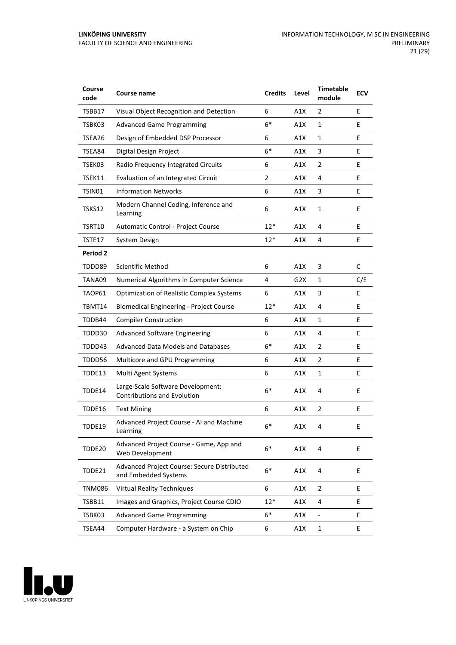| Course<br>code | Course name                                                             | <b>Credits</b> | Level | <b>Timetable</b><br>module   | <b>ECV</b> |
|----------------|-------------------------------------------------------------------------|----------------|-------|------------------------------|------------|
| TSBB17         | Visual Object Recognition and Detection                                 | 6              | A1X   | 2                            | E          |
| TSBK03         | <b>Advanced Game Programming</b>                                        | $6*$           | A1X   | $\mathbf{1}$                 | Е          |
| TSEA26         | Design of Embedded DSP Processor                                        | 6              | A1X   | 1                            | E          |
| TSEA84         | Digital Design Project                                                  | $6*$           | A1X   | 3                            | E          |
| TSEK03         | Radio Frequency Integrated Circuits                                     | 6              | A1X   | $\overline{2}$               | E          |
| TSEK11         | Evaluation of an Integrated Circuit                                     | 2              | A1X   | 4                            | E          |
| TSIN01         | <b>Information Networks</b>                                             | 6              | A1X   | 3                            | E          |
| TSKS12         | Modern Channel Coding, Inference and<br>Learning                        | 6              | A1X   | $\mathbf{1}$                 | E          |
| TSRT10         | Automatic Control - Project Course                                      | $12*$          | A1X   | 4                            | E          |
| TSTE17         | System Design                                                           | $12*$          | A1X   | 4                            | E          |
| Period 2       |                                                                         |                |       |                              |            |
| TDDD89         | <b>Scientific Method</b>                                                | 6              | A1X   | 3                            | C          |
| TANA09         | Numerical Algorithms in Computer Science                                | 4              | G2X   | 1                            | C/E        |
| TAOP61         | <b>Optimization of Realistic Complex Systems</b>                        | 6              | A1X   | 3                            | E          |
| TBMT14         | <b>Biomedical Engineering - Project Course</b>                          | $12*$          | A1X   | 4                            | E          |
| TDDB44         | <b>Compiler Construction</b>                                            | 6              | A1X   | $\mathbf{1}$                 | E          |
| TDDD30         | <b>Advanced Software Engineering</b>                                    | 6              | A1X   | 4                            | E          |
| TDDD43         | Advanced Data Models and Databases                                      | $6*$           | A1X   | $\overline{2}$               | E          |
| TDDD56         | Multicore and GPU Programming                                           | 6              | A1X   | $\overline{2}$               | E          |
| TDDE13         | Multi Agent Systems                                                     | 6              | A1X   | $\mathbf{1}$                 | E          |
| TDDE14         | Large-Scale Software Development:<br><b>Contributions and Evolution</b> | $6*$           | A1X   | 4                            | E          |
| TDDE16         | <b>Text Mining</b>                                                      | 6              | A1X   | 2                            | E          |
| TDDE19         | Advanced Project Course - AI and Machine<br>Learning                    | $6*$           | A1X   | 4                            | Ε          |
| TDDE20         | Advanced Project Course - Game, App and<br>Web Development              | $6*$           | A1X   | 4                            | E          |
| TDDE21         | Advanced Project Course: Secure Distributed<br>and Embedded Systems     | $6*$           | A1X   | 4                            | E          |
| <b>TNM086</b>  | <b>Virtual Reality Techniques</b>                                       | 6              | A1X   | $\overline{2}$               | E          |
| TSBB11         | Images and Graphics, Project Course CDIO                                | $12*$          | A1X   | 4                            | E          |
| TSBK03         | <b>Advanced Game Programming</b>                                        | $6*$           | A1X   | $\qquad \qquad \blacksquare$ | E          |
| TSEA44         | Computer Hardware - a System on Chip                                    | 6              | A1X   | $\mathbf{1}$                 | E          |

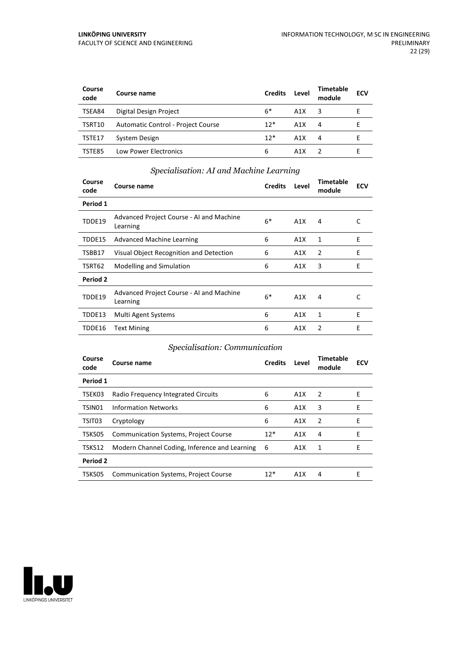| Course<br>code | Course name                        | <b>Credits</b> | Level | Timetable<br>module | <b>ECV</b> |
|----------------|------------------------------------|----------------|-------|---------------------|------------|
| TSEA84         | Digital Design Project             | $6*$           | A1X   | 3                   |            |
| TSRT10         | Automatic Control - Project Course | $12*$          | A1X   | 4                   |            |
| TSTE17         | System Design                      | $12*$          | A1X   | 4                   |            |
| TSTE85         | <b>Low Power Electronics</b>       | 6              | A1X   |                     |            |

#### *Specialisation: AI and Machine Learning*

| Course<br>code  | Course name                                          | <b>Credits</b> | Level | Timetable<br>module | <b>ECV</b> |
|-----------------|------------------------------------------------------|----------------|-------|---------------------|------------|
| Period 1        |                                                      |                |       |                     |            |
| TDDE19          | Advanced Project Course - AI and Machine<br>Learning | $6*$           | A1X   | 4                   | C          |
| TDDE15          | Advanced Machine Learning                            | 6              | A1X   | 1                   | E          |
| TSBB17          | Visual Object Recognition and Detection              | 6              | A1X   | 2                   | E          |
| TSRT62          | Modelling and Simulation                             | 6              | A1X   | 3                   | E          |
| <b>Period 2</b> |                                                      |                |       |                     |            |
| TDDE19          | Advanced Project Course - AI and Machine<br>Learning | $6*$           | A1X   | 4                   |            |
| TDDE13          | Multi Agent Systems                                  | 6              | A1X   | 1                   | E          |
| TDDE16          | <b>Text Mining</b>                                   | 6              | A1X   | 2                   | Е          |

#### *Specialisation: Communication*

| Course<br>code | Course name                                   | <b>Credits</b> | Level | Timetable<br>module | <b>ECV</b> |
|----------------|-----------------------------------------------|----------------|-------|---------------------|------------|
| Period 1       |                                               |                |       |                     |            |
| TSEK03         | Radio Frequency Integrated Circuits           | 6              | A1X   | -2                  | E          |
| TSIN01         | <b>Information Networks</b>                   | 6              | A1X   | 3                   | Е          |
| TSIT03         | Cryptology                                    | 6              | A1X   | 2                   | Е          |
| TSKS05         | <b>Communication Systems, Project Course</b>  | $12*$          | A1X   | 4                   | F          |
| TSKS12         | Modern Channel Coding, Inference and Learning | -6             | A1X   | 1                   | F          |
| Period 2       |                                               |                |       |                     |            |
| TSKS05         | <b>Communication Systems, Project Course</b>  | $12*$          | A1X   | 4                   | F          |

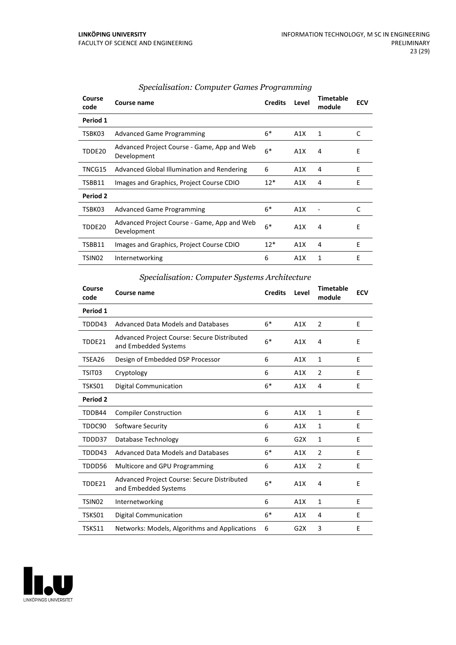| Course<br>code | Course name                                                | <b>Credits</b> | Level | <b>Timetable</b><br>module | <b>ECV</b> |
|----------------|------------------------------------------------------------|----------------|-------|----------------------------|------------|
| Period 1       |                                                            |                |       |                            |            |
| TSBK03         | <b>Advanced Game Programming</b>                           | $6*$           | A1X   | 1                          | C          |
| TDDE20         | Advanced Project Course - Game, App and Web<br>Development | $6*$           | A1X   | 4                          | E          |
| TNCG15         | Advanced Global Illumination and Rendering                 | 6              | A1X   | 4                          | E          |
| TSBB11         | Images and Graphics, Project Course CDIO                   | $12*$          | A1X   | 4                          | E          |
| Period 2       |                                                            |                |       |                            |            |
| TSBK03         | <b>Advanced Game Programming</b>                           | $6*$           | A1X   |                            | C          |
| TDDE20         | Advanced Project Course - Game, App and Web<br>Development | $6*$           | A1X   | 4                          | E          |
| TSBB11         | Images and Graphics, Project Course CDIO                   | $12*$          | A1X   | 4                          | E          |
| TSIN02         | Internetworking                                            | 6              | A1X   | 1                          | E          |

#### *Specialisation: Computer Games Programming*

#### *Specialisation: Computer Systems Architecture*

| Course<br>code     | Course name                                                                | <b>Credits</b> | Level            | <b>Timetable</b><br>module | <b>ECV</b> |
|--------------------|----------------------------------------------------------------------------|----------------|------------------|----------------------------|------------|
| Period 1           |                                                                            |                |                  |                            |            |
| TDDD43             | Advanced Data Models and Databases                                         | $6*$           | A1X              | 2                          | E          |
| TDDE21             | <b>Advanced Project Course: Secure Distributed</b><br>and Embedded Systems | $6*$           | A1X              | 4                          | E          |
| TSEA26             | Design of Embedded DSP Processor                                           | 6              | A1X              | $\mathbf{1}$               | E          |
| TSIT03             | Cryptology                                                                 | 6              | A1X              | $\overline{2}$             | E          |
| TSKS01             | Digital Communication                                                      | $6*$           | A1X              | 4                          | E          |
| Period 2           |                                                                            |                |                  |                            |            |
| TDDB44             | <b>Compiler Construction</b>                                               | 6              | A1X              | 1                          | E          |
| TDDC90             | Software Security                                                          | 6              | A1X              | 1                          | E          |
| TDDD37             | Database Technology                                                        | 6              | G2X              | 1                          | E          |
| TDDD43             | Advanced Data Models and Databases                                         | $6*$           | A1X              | 2                          | E          |
| TDDD56             | Multicore and GPU Programming                                              | 6              | A1X              | $\overline{2}$             | E          |
| TDDE21             | Advanced Project Course: Secure Distributed<br>and Embedded Systems        | $6*$           | A1X              | 4                          | E          |
| TSIN <sub>02</sub> | Internetworking                                                            | 6              | A1X              | 1                          | E          |
| TSKS01             | Digital Communication                                                      | $6*$           | A1X              | 4                          | Е          |
| TSKS11             | Networks: Models, Algorithms and Applications                              | 6              | G <sub>2</sub> X | 3                          | Е          |

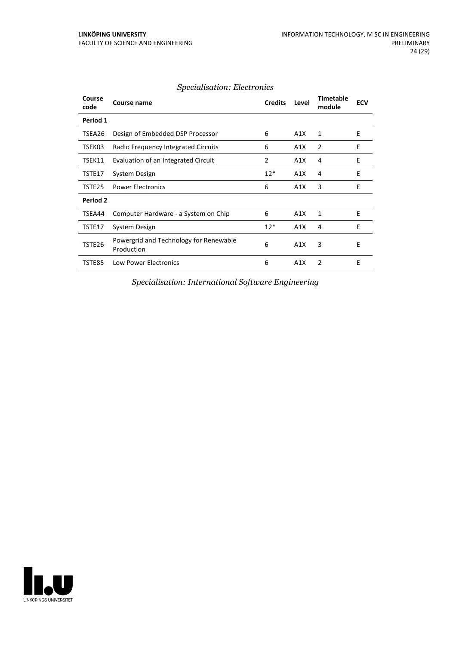| Course<br>code | Course name                                          | <b>Credits</b> | Level | <b>Timetable</b><br>module | <b>ECV</b> |
|----------------|------------------------------------------------------|----------------|-------|----------------------------|------------|
| Period 1       |                                                      |                |       |                            |            |
| TSEA26         | Design of Embedded DSP Processor                     | 6              | A1X   | 1                          | E          |
| TSEK03         | Radio Frequency Integrated Circuits                  | 6              | A1X   | $\overline{2}$             | E          |
| TSEK11         | Evaluation of an Integrated Circuit                  | 2              | A1X   | 4                          | E          |
| TSTE17         | System Design                                        | $12*$          | A1X   | 4                          | E          |
| TSTE25         | <b>Power Electronics</b>                             | 6              | A1X   | 3                          | E          |
| Period 2       |                                                      |                |       |                            |            |
| TSEA44         | Computer Hardware - a System on Chip                 | 6              | A1X   | 1                          | E          |
| TSTE17         | System Design                                        | $12*$          | A1X   | 4                          | E          |
| TSTE26         | Powergrid and Technology for Renewable<br>Production | 6              | A1X   | 3                          | E          |
| TSTE85         | <b>Low Power Electronics</b>                         | 6              | A1X   | 2                          | Е          |

#### *Specialisation: Electronics*

*Specialisation: International Software Engineering*

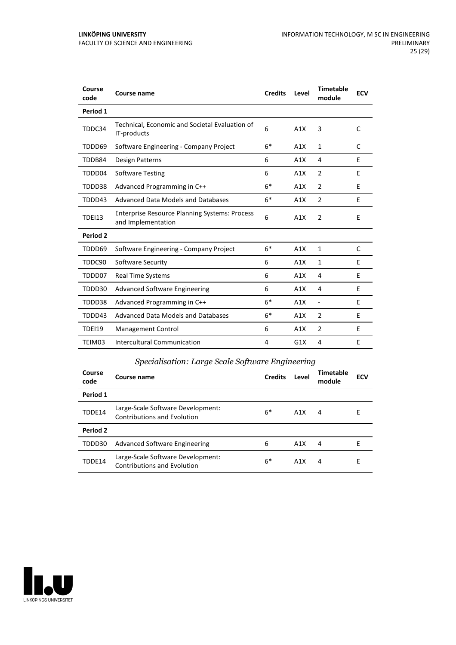| Course<br>code | Course name                                                                | <b>Credits</b> | Level | <b>Timetable</b><br>module | <b>ECV</b> |
|----------------|----------------------------------------------------------------------------|----------------|-------|----------------------------|------------|
| Period 1       |                                                                            |                |       |                            |            |
| TDDC34         | Technical, Economic and Societal Evaluation of<br>IT-products              | 6              | A1X   | 3                          | C          |
| TDDD69         | Software Engineering - Company Project                                     | $6*$           | A1X   | 1                          | C          |
| TDDB84         | Design Patterns                                                            | 6              | A1X   | 4                          | E          |
| TDDD04         | <b>Software Testing</b>                                                    | 6              | A1X   | $\overline{2}$             | F          |
| TDDD38         | Advanced Programming in C++                                                | $6*$           | A1X   | $\overline{2}$             | E          |
| TDDD43         | Advanced Data Models and Databases                                         | $6*$           | A1X   | 2                          | E          |
| <b>TDEI13</b>  | <b>Enterprise Resource Planning Systems: Process</b><br>and Implementation | 6              | A1X   | $\overline{2}$             | E          |
| Period 2       |                                                                            |                |       |                            |            |
| TDDD69         | Software Engineering - Company Project                                     | $6*$           | A1X   | 1                          | C          |
| TDDC90         | Software Security                                                          | 6              | A1X   | 1                          | E          |
| TDDD07         | <b>Real Time Systems</b>                                                   | 6              | A1X   | 4                          | E          |
| TDDD30         | <b>Advanced Software Engineering</b>                                       | 6              | A1X   | 4                          | E          |
| TDDD38         | Advanced Programming in C++                                                | $6*$           | A1X   | $\overline{\phantom{a}}$   | E          |
| TDDD43         | <b>Advanced Data Models and Databases</b>                                  | $6*$           | A1X   | 2                          | E          |
| TDEI19         | Management Control                                                         | 6              | A1X   | $\overline{2}$             | E          |
| TEIM03         | <b>Intercultural Communication</b>                                         | 4              | G1X   | 4                          | E          |

#### *Specialisation: Large Scale Software Engineering*

| Course<br>code | Course name                                                             | <b>Credits</b> | Level | <b>Timetable</b><br>module | <b>ECV</b> |
|----------------|-------------------------------------------------------------------------|----------------|-------|----------------------------|------------|
| Period 1       |                                                                         |                |       |                            |            |
| TDDE14         | Large-Scale Software Development:<br><b>Contributions and Evolution</b> | $6*$           | A1X   | 4                          | Е          |
| Period 2       |                                                                         |                |       |                            |            |
| TDDD30         | <b>Advanced Software Engineering</b>                                    | 6              | A1X   | 4                          | F          |
| TDDE14         | Large-Scale Software Development:<br><b>Contributions and Evolution</b> | $6*$           | A1X   | 4                          | Е          |

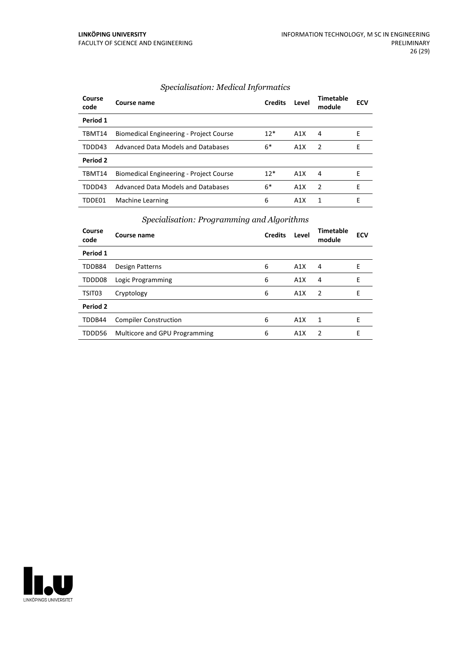| Course<br>code | Course name                             | <b>Credits</b> | Level | <b>Timetable</b><br>module | <b>ECV</b> |
|----------------|-----------------------------------------|----------------|-------|----------------------------|------------|
| Period 1       |                                         |                |       |                            |            |
| TBMT14         | Biomedical Engineering - Project Course | $12*$          | A1X   | 4                          | Е          |
| TDDD43         | Advanced Data Models and Databases      | $6*$           | A1X   | -2                         | E          |
| Period 2       |                                         |                |       |                            |            |
| TBMT14         | Biomedical Engineering - Project Course | $12*$          | A1X   | 4                          | F          |
| TDDD43         | Advanced Data Models and Databases      | $6*$           | A1X   | $\mathcal{P}$              | F          |
| TDDE01         | Machine Learning                        | 6              | A1X   | 1                          | Е          |

#### *Specialisation: Medical Informatics*

#### *Specialisation: Programming and Algorithms*

| Course<br>code | Course name                   | <b>Credits</b> | Level | <b>Timetable</b><br>module | <b>ECV</b> |
|----------------|-------------------------------|----------------|-------|----------------------------|------------|
| Period 1       |                               |                |       |                            |            |
| TDDB84         | Design Patterns               | 6              | A1X   | 4                          | Е          |
| TDDD08         | Logic Programming             | 6              | A1X   | 4                          | F          |
| TSIT03         | Cryptology                    | 6              | A1X   | $\overline{2}$             | F          |
| Period 2       |                               |                |       |                            |            |
| TDDB44         | <b>Compiler Construction</b>  | 6              | A1X   | $\mathbf{1}$               | F          |
| TDDD56         | Multicore and GPU Programming | 6              | A1X   | $\mathcal{P}$              | F          |

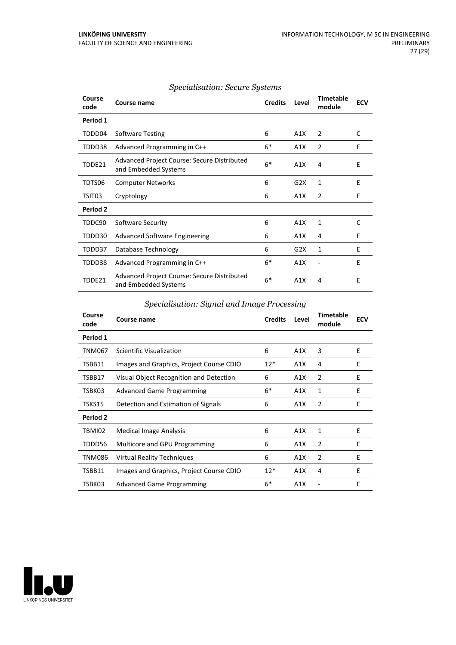| Course<br>code  | Course name                                                         | <b>Credits</b> | Level | <b>Timetable</b><br>module | <b>ECV</b> |
|-----------------|---------------------------------------------------------------------|----------------|-------|----------------------------|------------|
| Period 1        |                                                                     |                |       |                            |            |
| TDDD04          | <b>Software Testing</b>                                             | 6              | A1X   | $\overline{2}$             | C          |
| TDDD38          | Advanced Programming in C++                                         | $6*$           | A1X   | 2                          | E          |
| TDDE21          | Advanced Project Course: Secure Distributed<br>and Embedded Systems | $6*$           | A1X   | 4                          | E          |
| TDTS06          | <b>Computer Networks</b>                                            | 6              | G2X   | 1                          | E          |
| TSIT03          | Cryptology                                                          | 6              | A1X   | $\overline{2}$             | E          |
| <b>Period 2</b> |                                                                     |                |       |                            |            |
| TDDC90          | Software Security                                                   | 6              | A1X   | 1                          | C          |
| TDDD30          | <b>Advanced Software Engineering</b>                                | 6              | A1X   | 4                          | E          |
| TDDD37          | Database Technology                                                 | 6              | G2X   | 1                          | E          |
| TDDD38          | Advanced Programming in C++                                         | $6*$           | A1X   |                            | E          |
| TDDF21          | Advanced Project Course: Secure Distributed<br>and Embedded Systems | $6*$           | A1X   | 4                          | E          |

#### *Specialisation: Secure Systems*

#### *Specialisation: Signal and Image Processing*

| Course<br>code | <b>Course name</b>                       | <b>Credits</b> | Level | <b>Timetable</b><br>module | <b>ECV</b> |
|----------------|------------------------------------------|----------------|-------|----------------------------|------------|
| Period 1       |                                          |                |       |                            |            |
| <b>TNM067</b>  | Scientific Visualization                 | 6              | A1X   | 3                          | E          |
| TSBB11         | Images and Graphics, Project Course CDIO | $12*$          | A1X   | 4                          | E          |
| TSBB17         | Visual Object Recognition and Detection  | 6              | A1X   | 2                          | E          |
| TSBK03         | <b>Advanced Game Programming</b>         | $6*$           | A1X   | 1                          | E          |
| TSKS15         | Detection and Estimation of Signals      | 6              | A1X   | 2                          | E          |
| Period 2       |                                          |                |       |                            |            |
| TBMI02         | Medical Image Analysis                   | 6              | A1X   | 1                          | E          |
| TDDD56         | Multicore and GPU Programming            | 6              | A1X   | 2                          | F          |
| TNM086         | <b>Virtual Reality Techniques</b>        | 6              | A1X   | $\overline{2}$             | E          |
| TSBB11         | Images and Graphics, Project Course CDIO | $12*$          | A1X   | 4                          | E          |
| TSBK03         | <b>Advanced Game Programming</b>         | $6*$           | A1X   |                            | E          |

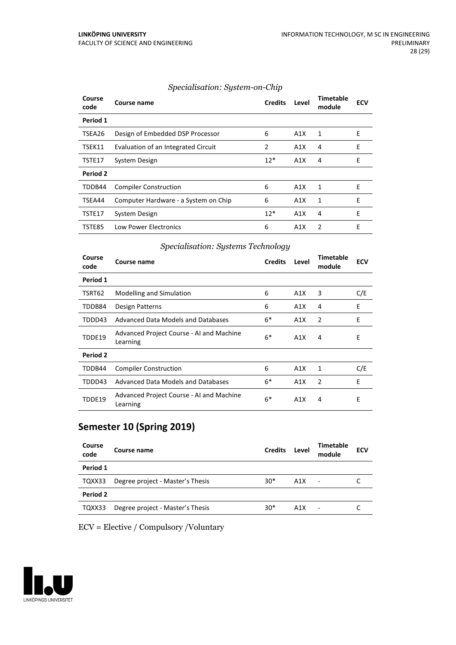#### *Specialisation: System-on-Chip*

| Course<br>code | Course name                          | <b>Credits</b> | Level | Timetable<br>module | <b>ECV</b> |
|----------------|--------------------------------------|----------------|-------|---------------------|------------|
| Period 1       |                                      |                |       |                     |            |
| TSEA26         | Design of Embedded DSP Processor     | 6              | A1X   | 1                   | Е          |
| TSEK11         | Evaluation of an Integrated Circuit  | 2              | A1X   | 4                   | E          |
| TSTE17         | System Design                        | $12*$          | A1X   | 4                   | E          |
| Period 2       |                                      |                |       |                     |            |
| TDDB44         | <b>Compiler Construction</b>         | 6              | A1X   | 1                   | E          |
| TSEA44         | Computer Hardware - a System on Chip | 6              | A1X   | 1                   | E          |
| TSTE17         | System Design                        | $12*$          | A1X   | 4                   | E          |
| TSTE85         | Low Power Electronics                | 6              | A1X   | $\mathcal{P}$       | E          |

#### *Specialisation: Systems Technology*

| Course<br>code | Course name                                          | <b>Credits</b> | Level | Timetable<br>module | <b>ECV</b> |
|----------------|------------------------------------------------------|----------------|-------|---------------------|------------|
| Period 1       |                                                      |                |       |                     |            |
| TSRT62         | <b>Modelling and Simulation</b>                      | 6              | A1X   | 3                   | C/E        |
| TDDB84         | Design Patterns                                      | 6              | A1X   | 4                   | E          |
| TDDD43         | Advanced Data Models and Databases                   | $6*$           | A1X   | 2                   | E          |
| TDDE19         | Advanced Project Course - AI and Machine<br>Learning | $6*$           | A1X   | 4                   | E          |
| Period 2       |                                                      |                |       |                     |            |
| TDDB44         | <b>Compiler Construction</b>                         | 6              | A1X   | 1                   | C/E        |
| TDDD43         | <b>Advanced Data Models and Databases</b>            | $6*$           | A1X   | 2                   | E          |
| TDDE19         | Advanced Project Course - AI and Machine<br>Learning | $6*$           | A1X   | 4                   | E          |

## **Semester 10 (Spring 2019)**

| Course<br>code | Course name                      | <b>Credits</b> | Level | <b>Timetable</b><br>module | <b>ECV</b> |
|----------------|----------------------------------|----------------|-------|----------------------------|------------|
| Period 1       |                                  |                |       |                            |            |
| TQXX33         | Degree project - Master's Thesis | $30*$          | A1X   | $\overline{\phantom{a}}$   |            |
| Period 2       |                                  |                |       |                            |            |
| TQXX33         | Degree project - Master's Thesis | $30*$          | A1X   | ٠                          |            |

ECV = Elective / Compulsory /Voluntary